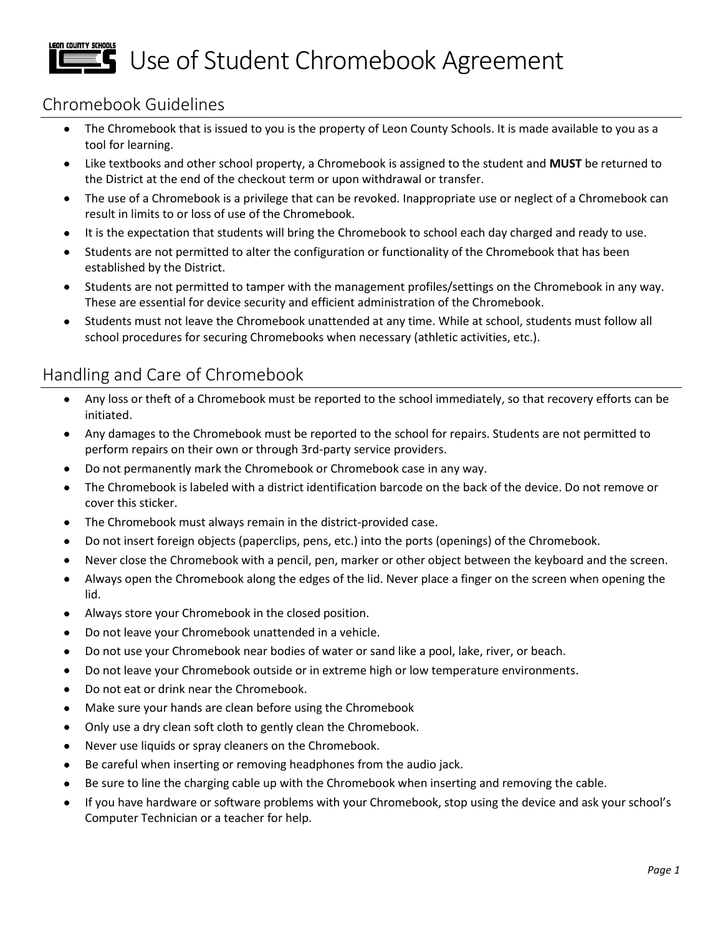# LEON COUNTY SCHOOLS **Th** Use of Student Chromebook Agreement

# Chromebook Guidelines

- The Chromebook that is issued to you is the property of Leon County Schools. It is made available to you as a tool for learning.
- Like textbooks and other school property, a Chromebook is assigned to the student and **MUST** be returned to the District at the end of the checkout term or upon withdrawal or transfer.
- The use of a Chromebook is a privilege that can be revoked. Inappropriate use or neglect of a Chromebook can result in limits to or loss of use of the Chromebook.
- It is the expectation that students will bring the Chromebook to school each day charged and ready to use.
- Students are not permitted to alter the configuration or functionality of the Chromebook that has been established by the District.
- Students are not permitted to tamper with the management profiles/settings on the Chromebook in any way. These are essential for device security and efficient administration of the Chromebook.
- Students must not leave the Chromebook unattended at any time. While at school, students must follow all school procedures for securing Chromebooks when necessary (athletic activities, etc.).

# Handling and Care of Chromebook

- Any loss or theft of a Chromebook must be reported to the school immediately, so that recovery efforts can be initiated.
- Any damages to the Chromebook must be reported to the school for repairs. Students are not permitted to perform repairs on their own or through 3rd-party service providers.
- Do not permanently mark the Chromebook or Chromebook case in any way.
- The Chromebook is labeled with a district identification barcode on the back of the device. Do not remove or cover this sticker.
- The Chromebook must always remain in the district-provided case.
- Do not insert foreign objects (paperclips, pens, etc.) into the ports (openings) of the Chromebook.
- Never close the Chromebook with a pencil, pen, marker or other object between the keyboard and the screen.
- Always open the Chromebook along the edges of the lid. Never place a finger on the screen when opening the lid.
- Always store your Chromebook in the closed position.
- Do not leave your Chromebook unattended in a vehicle.
- Do not use your Chromebook near bodies of water or sand like a pool, lake, river, or beach.
- Do not leave your Chromebook outside or in extreme high or low temperature environments.
- Do not eat or drink near the Chromebook.
- Make sure your hands are clean before using the Chromebook
- Only use a dry clean soft cloth to gently clean the Chromebook.
- Never use liquids or spray cleaners on the Chromebook.
- Be careful when inserting or removing headphones from the audio jack.
- Be sure to line the charging cable up with the Chromebook when inserting and removing the cable.
- If you have hardware or software problems with your Chromebook, stop using the device and ask your school's Computer Technician or a teacher for help.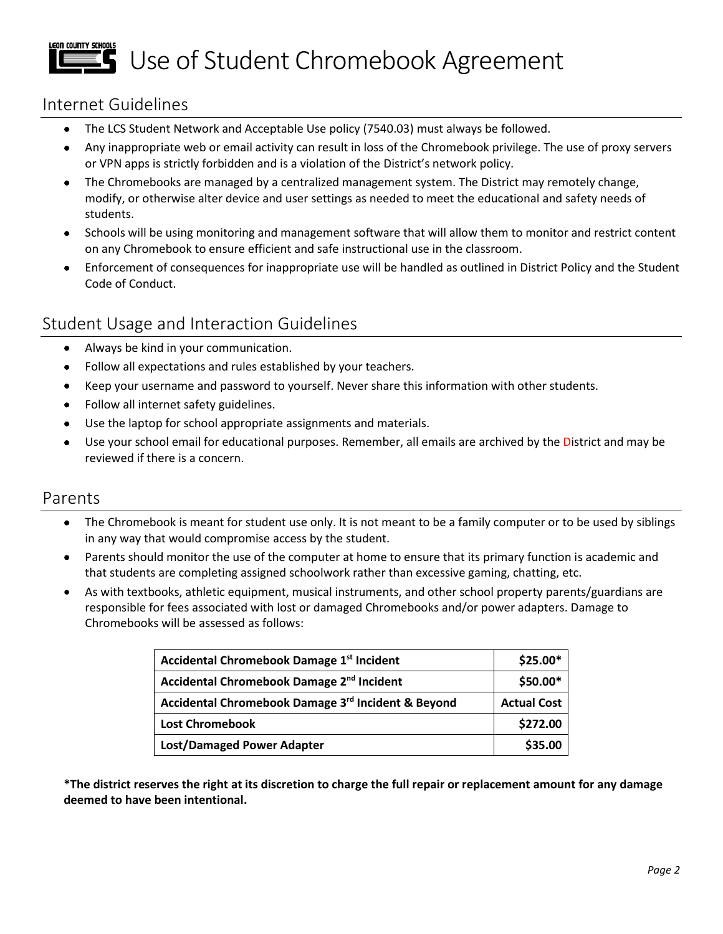### LEON COUNTY SCHOOLS Use of Student Chromebook Agreement

### Internet Guidelines

- The LCS Student Network and Acceptable Use policy (7540.03) must always be followed.
- Any inappropriate web or email activity can result in loss of the Chromebook privilege. The use of proxy servers or VPN apps is strictly forbidden and is a violation of the District's network policy.
- The Chromebooks are managed by a centralized management system. The District may remotely change, modify, or otherwise alter device and user settings as needed to meet the educational and safety needs of students.
- Schools will be using monitoring and management software that will allow them to monitor and restrict content on any Chromebook to ensure efficient and safe instructional use in the classroom.
- Enforcement of consequences for inappropriate use will be handled as outlined in District Policy and the Student Code of Conduct.

## Student Usage and Interaction Guidelines

- Always be kind in your communication.
- Follow all expectations and rules established by your teachers.
- Keep your username and password to yourself. Never share this information with other students.
- Follow all internet safety guidelines.
- Use the laptop for school appropriate assignments and materials.
- Use your school email for educational purposes. Remember, all emails are archived by the District and may be reviewed if there is a concern.

#### Parents

- The Chromebook is meant for student use only. It is not meant to be a family computer or to be used by siblings in any way that would compromise access by the student.
- Parents should monitor the use of the computer at home to ensure that its primary function is academic and that students are completing assigned schoolwork rather than excessive gaming, chatting, etc.
- As with textbooks, athletic equipment, musical instruments, and other school property parents/guardians are responsible for fees associated with lost or damaged Chromebooks and/or power adapters. Damage to Chromebooks will be assessed as follows:

| Accidental Chromebook Damage 1st Incident             | $$25.00*$          |
|-------------------------------------------------------|--------------------|
| Accidental Chromebook Damage 2 <sup>nd</sup> Incident | $$50.00*$          |
| Accidental Chromebook Damage 3rd Incident & Beyond    | <b>Actual Cost</b> |
| <b>Lost Chromebook</b>                                | \$272.00           |
| <b>Lost/Damaged Power Adapter</b>                     | \$35.00            |

**\*The district reserves the right at its discretion to charge the full repair or replacement amount for any damage deemed to have been intentional.**